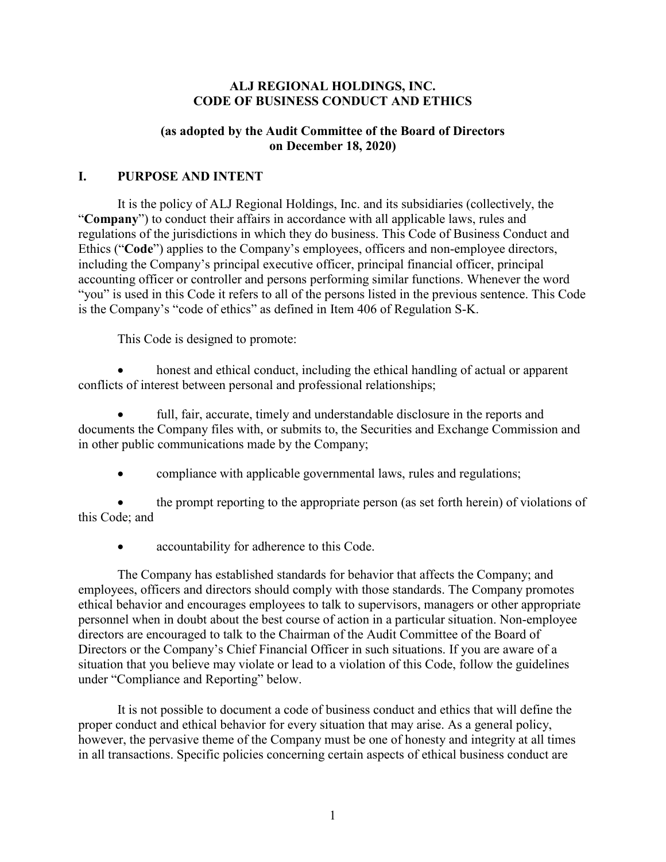#### **ALJ REGIONAL HOLDINGS, INC. CODE OF BUSINESS CONDUCT AND ETHICS**

#### **(as adopted by the Audit Committee of the Board of Directors on December 18, 2020)**

#### **I. PURPOSE AND INTENT**

It is the policy of ALJ Regional Holdings, Inc. and its subsidiaries (collectively, the "**Company**") to conduct their affairs in accordance with all applicable laws, rules and regulations of the jurisdictions in which they do business. This Code of Business Conduct and Ethics ("**Code**") applies to the Company's employees, officers and non-employee directors, including the Company's principal executive officer, principal financial officer, principal accounting officer or controller and persons performing similar functions. Whenever the word "you" is used in this Code it refers to all of the persons listed in the previous sentence. This Code is the Company's "code of ethics" as defined in Item 406 of Regulation S-K.

This Code is designed to promote:

honest and ethical conduct, including the ethical handling of actual or apparent conflicts of interest between personal and professional relationships;

full, fair, accurate, timely and understandable disclosure in the reports and documents the Company files with, or submits to, the Securities and Exchange Commission and in other public communications made by the Company;

• compliance with applicable governmental laws, rules and regulations;

• the prompt reporting to the appropriate person (as set forth herein) of violations of this Code; and

accountability for adherence to this Code.

The Company has established standards for behavior that affects the Company; and employees, officers and directors should comply with those standards. The Company promotes ethical behavior and encourages employees to talk to supervisors, managers or other appropriate personnel when in doubt about the best course of action in a particular situation. Non-employee directors are encouraged to talk to the Chairman of the Audit Committee of the Board of Directors or the Company's Chief Financial Officer in such situations. If you are aware of a situation that you believe may violate or lead to a violation of this Code, follow the guidelines under "Compliance and Reporting" below.

It is not possible to document a code of business conduct and ethics that will define the proper conduct and ethical behavior for every situation that may arise. As a general policy, however, the pervasive theme of the Company must be one of honesty and integrity at all times in all transactions. Specific policies concerning certain aspects of ethical business conduct are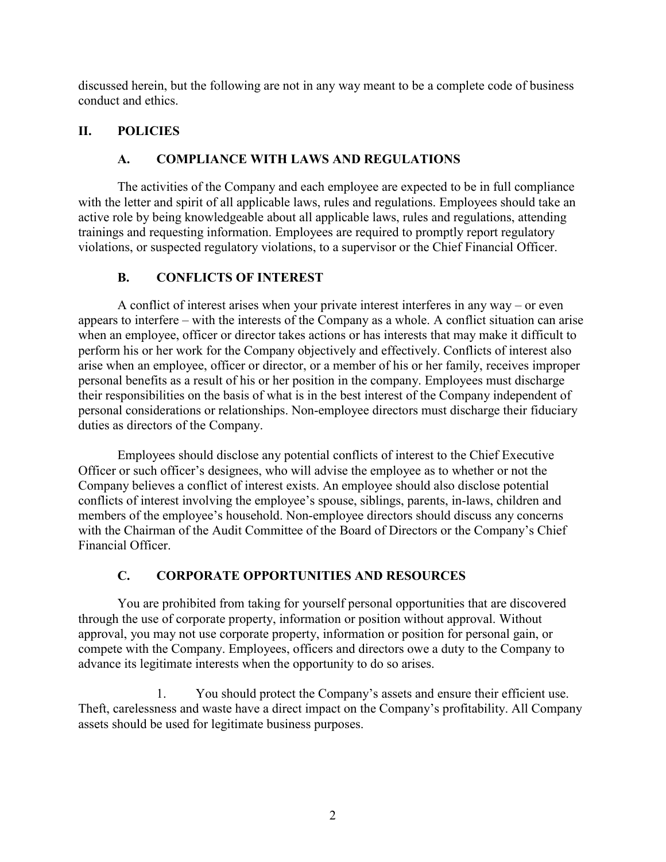discussed herein, but the following are not in any way meant to be a complete code of business conduct and ethics.

### **II. POLICIES**

### **A. COMPLIANCE WITH LAWS AND REGULATIONS**

The activities of the Company and each employee are expected to be in full compliance with the letter and spirit of all applicable laws, rules and regulations. Employees should take an active role by being knowledgeable about all applicable laws, rules and regulations, attending trainings and requesting information. Employees are required to promptly report regulatory violations, or suspected regulatory violations, to a supervisor or the Chief Financial Officer.

### **B. CONFLICTS OF INTEREST**

A conflict of interest arises when your private interest interferes in any way – or even appears to interfere – with the interests of the Company as a whole. A conflict situation can arise when an employee, officer or director takes actions or has interests that may make it difficult to perform his or her work for the Company objectively and effectively. Conflicts of interest also arise when an employee, officer or director, or a member of his or her family, receives improper personal benefits as a result of his or her position in the company. Employees must discharge their responsibilities on the basis of what is in the best interest of the Company independent of personal considerations or relationships. Non-employee directors must discharge their fiduciary duties as directors of the Company.

Employees should disclose any potential conflicts of interest to the Chief Executive Officer or such officer's designees, who will advise the employee as to whether or not the Company believes a conflict of interest exists. An employee should also disclose potential conflicts of interest involving the employee's spouse, siblings, parents, in-laws, children and members of the employee's household. Non-employee directors should discuss any concerns with the Chairman of the Audit Committee of the Board of Directors or the Company's Chief Financial Officer.

# **C. CORPORATE OPPORTUNITIES AND RESOURCES**

You are prohibited from taking for yourself personal opportunities that are discovered through the use of corporate property, information or position without approval. Without approval, you may not use corporate property, information or position for personal gain, or compete with the Company. Employees, officers and directors owe a duty to the Company to advance its legitimate interests when the opportunity to do so arises.

1. You should protect the Company's assets and ensure their efficient use. Theft, carelessness and waste have a direct impact on the Company's profitability. All Company assets should be used for legitimate business purposes.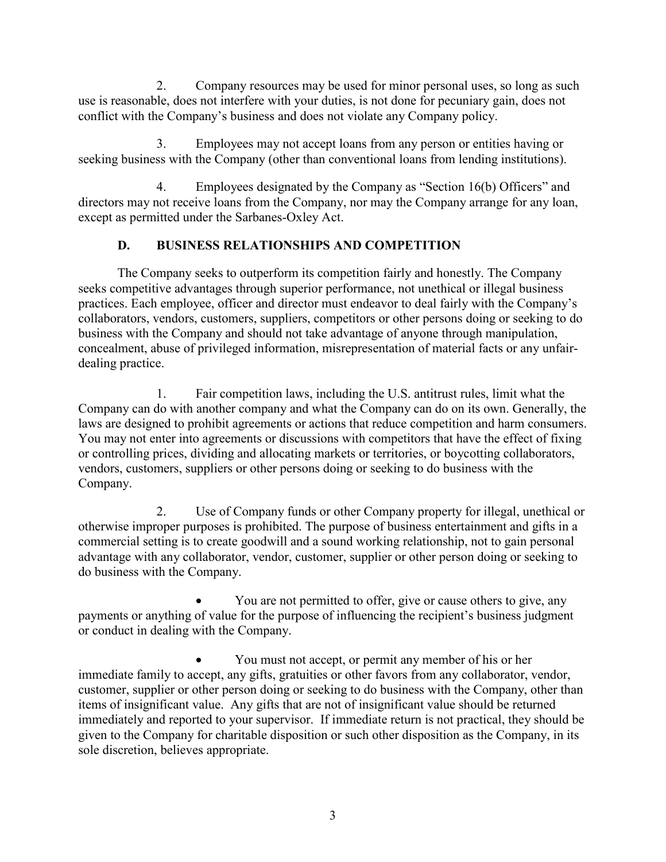2. Company resources may be used for minor personal uses, so long as such use is reasonable, does not interfere with your duties, is not done for pecuniary gain, does not conflict with the Company's business and does not violate any Company policy.

3. Employees may not accept loans from any person or entities having or seeking business with the Company (other than conventional loans from lending institutions).

4. Employees designated by the Company as "Section 16(b) Officers" and directors may not receive loans from the Company, nor may the Company arrange for any loan, except as permitted under the Sarbanes-Oxley Act.

# **D. BUSINESS RELATIONSHIPS AND COMPETITION**

The Company seeks to outperform its competition fairly and honestly. The Company seeks competitive advantages through superior performance, not unethical or illegal business practices. Each employee, officer and director must endeavor to deal fairly with the Company's collaborators, vendors, customers, suppliers, competitors or other persons doing or seeking to do business with the Company and should not take advantage of anyone through manipulation, concealment, abuse of privileged information, misrepresentation of material facts or any unfairdealing practice.

1. Fair competition laws, including the U.S. antitrust rules, limit what the Company can do with another company and what the Company can do on its own. Generally, the laws are designed to prohibit agreements or actions that reduce competition and harm consumers. You may not enter into agreements or discussions with competitors that have the effect of fixing or controlling prices, dividing and allocating markets or territories, or boycotting collaborators, vendors, customers, suppliers or other persons doing or seeking to do business with the Company.

2. Use of Company funds or other Company property for illegal, unethical or otherwise improper purposes is prohibited. The purpose of business entertainment and gifts in a commercial setting is to create goodwill and a sound working relationship, not to gain personal advantage with any collaborator, vendor, customer, supplier or other person doing or seeking to do business with the Company.

• You are not permitted to offer, give or cause others to give, any payments or anything of value for the purpose of influencing the recipient's business judgment or conduct in dealing with the Company.

• You must not accept, or permit any member of his or her immediate family to accept, any gifts, gratuities or other favors from any collaborator, vendor, customer, supplier or other person doing or seeking to do business with the Company, other than items of insignificant value. Any gifts that are not of insignificant value should be returned immediately and reported to your supervisor. If immediate return is not practical, they should be given to the Company for charitable disposition or such other disposition as the Company, in its sole discretion, believes appropriate.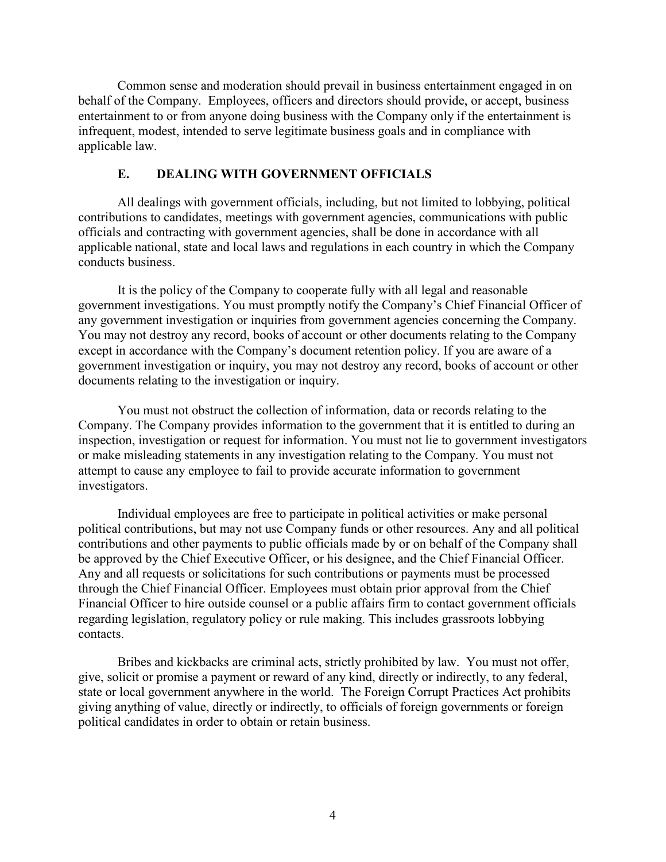Common sense and moderation should prevail in business entertainment engaged in on behalf of the Company. Employees, officers and directors should provide, or accept, business entertainment to or from anyone doing business with the Company only if the entertainment is infrequent, modest, intended to serve legitimate business goals and in compliance with applicable law.

#### **E. DEALING WITH GOVERNMENT OFFICIALS**

All dealings with government officials, including, but not limited to lobbying, political contributions to candidates, meetings with government agencies, communications with public officials and contracting with government agencies, shall be done in accordance with all applicable national, state and local laws and regulations in each country in which the Company conducts business.

It is the policy of the Company to cooperate fully with all legal and reasonable government investigations. You must promptly notify the Company's Chief Financial Officer of any government investigation or inquiries from government agencies concerning the Company. You may not destroy any record, books of account or other documents relating to the Company except in accordance with the Company's document retention policy. If you are aware of a government investigation or inquiry, you may not destroy any record, books of account or other documents relating to the investigation or inquiry.

You must not obstruct the collection of information, data or records relating to the Company. The Company provides information to the government that it is entitled to during an inspection, investigation or request for information. You must not lie to government investigators or make misleading statements in any investigation relating to the Company. You must not attempt to cause any employee to fail to provide accurate information to government investigators.

Individual employees are free to participate in political activities or make personal political contributions, but may not use Company funds or other resources. Any and all political contributions and other payments to public officials made by or on behalf of the Company shall be approved by the Chief Executive Officer, or his designee, and the Chief Financial Officer. Any and all requests or solicitations for such contributions or payments must be processed through the Chief Financial Officer. Employees must obtain prior approval from the Chief Financial Officer to hire outside counsel or a public affairs firm to contact government officials regarding legislation, regulatory policy or rule making. This includes grassroots lobbying contacts.

Bribes and kickbacks are criminal acts, strictly prohibited by law. You must not offer, give, solicit or promise a payment or reward of any kind, directly or indirectly, to any federal, state or local government anywhere in the world. The Foreign Corrupt Practices Act prohibits giving anything of value, directly or indirectly, to officials of foreign governments or foreign political candidates in order to obtain or retain business.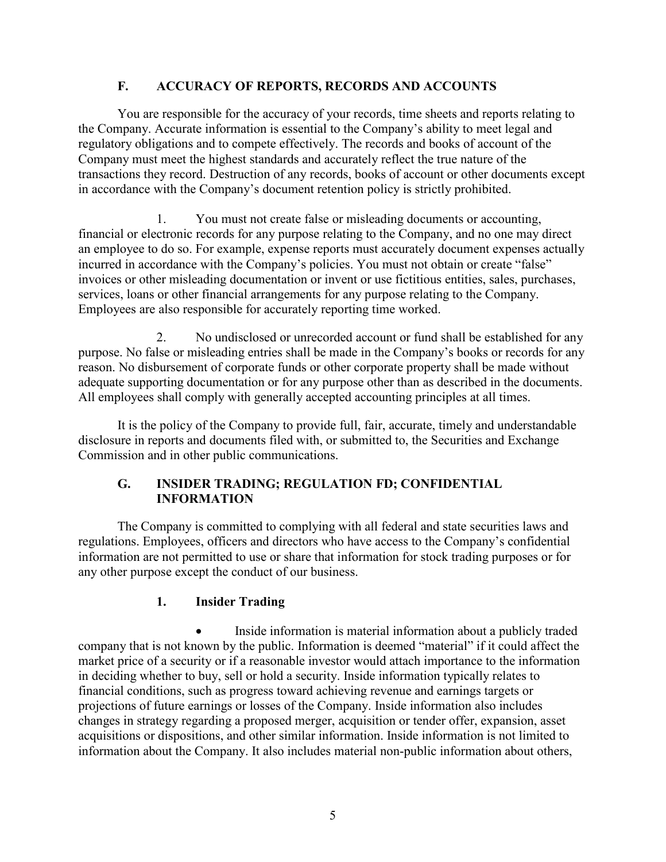### **F. ACCURACY OF REPORTS, RECORDS AND ACCOUNTS**

You are responsible for the accuracy of your records, time sheets and reports relating to the Company. Accurate information is essential to the Company's ability to meet legal and regulatory obligations and to compete effectively. The records and books of account of the Company must meet the highest standards and accurately reflect the true nature of the transactions they record. Destruction of any records, books of account or other documents except in accordance with the Company's document retention policy is strictly prohibited.

1. You must not create false or misleading documents or accounting, financial or electronic records for any purpose relating to the Company, and no one may direct an employee to do so. For example, expense reports must accurately document expenses actually incurred in accordance with the Company's policies. You must not obtain or create "false" invoices or other misleading documentation or invent or use fictitious entities, sales, purchases, services, loans or other financial arrangements for any purpose relating to the Company. Employees are also responsible for accurately reporting time worked.

2. No undisclosed or unrecorded account or fund shall be established for any purpose. No false or misleading entries shall be made in the Company's books or records for any reason. No disbursement of corporate funds or other corporate property shall be made without adequate supporting documentation or for any purpose other than as described in the documents. All employees shall comply with generally accepted accounting principles at all times.

It is the policy of the Company to provide full, fair, accurate, timely and understandable disclosure in reports and documents filed with, or submitted to, the Securities and Exchange Commission and in other public communications.

### **G. INSIDER TRADING; REGULATION FD; CONFIDENTIAL INFORMATION**

The Company is committed to complying with all federal and state securities laws and regulations. Employees, officers and directors who have access to the Company's confidential information are not permitted to use or share that information for stock trading purposes or for any other purpose except the conduct of our business.

### **1. Insider Trading**

• Inside information is material information about a publicly traded company that is not known by the public. Information is deemed "material" if it could affect the market price of a security or if a reasonable investor would attach importance to the information in deciding whether to buy, sell or hold a security. Inside information typically relates to financial conditions, such as progress toward achieving revenue and earnings targets or projections of future earnings or losses of the Company. Inside information also includes changes in strategy regarding a proposed merger, acquisition or tender offer, expansion, asset acquisitions or dispositions, and other similar information. Inside information is not limited to information about the Company. It also includes material non-public information about others,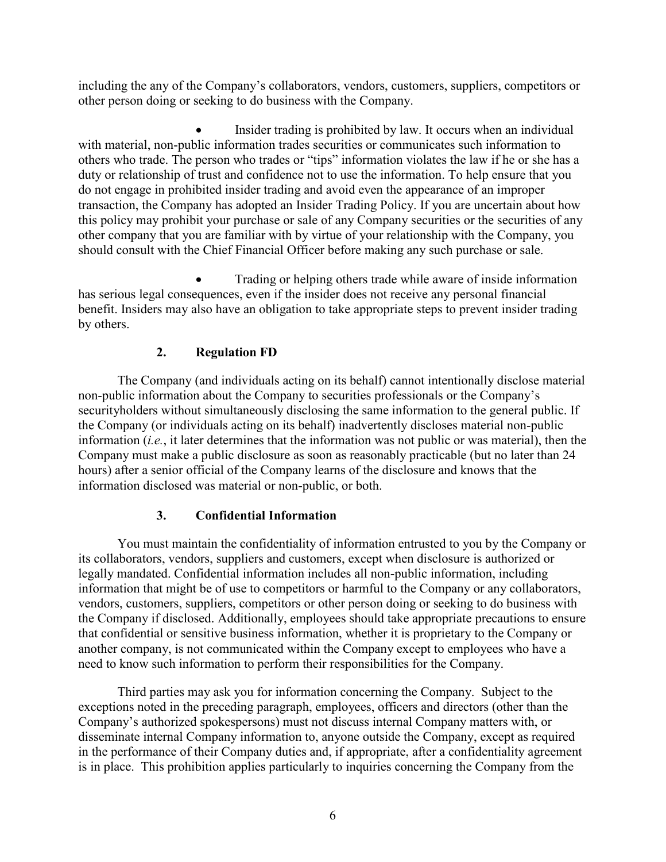including the any of the Company's collaborators, vendors, customers, suppliers, competitors or other person doing or seeking to do business with the Company.

Insider trading is prohibited by law. It occurs when an individual with material, non-public information trades securities or communicates such information to others who trade. The person who trades or "tips" information violates the law if he or she has a duty or relationship of trust and confidence not to use the information. To help ensure that you do not engage in prohibited insider trading and avoid even the appearance of an improper transaction, the Company has adopted an Insider Trading Policy. If you are uncertain about how this policy may prohibit your purchase or sale of any Company securities or the securities of any other company that you are familiar with by virtue of your relationship with the Company, you should consult with the Chief Financial Officer before making any such purchase or sale.

• Trading or helping others trade while aware of inside information has serious legal consequences, even if the insider does not receive any personal financial benefit. Insiders may also have an obligation to take appropriate steps to prevent insider trading by others.

# **2. Regulation FD**

The Company (and individuals acting on its behalf) cannot intentionally disclose material non-public information about the Company to securities professionals or the Company's securityholders without simultaneously disclosing the same information to the general public. If the Company (or individuals acting on its behalf) inadvertently discloses material non-public information (*i.e.*, it later determines that the information was not public or was material), then the Company must make a public disclosure as soon as reasonably practicable (but no later than 24 hours) after a senior official of the Company learns of the disclosure and knows that the information disclosed was material or non-public, or both.

# **3. Confidential Information**

You must maintain the confidentiality of information entrusted to you by the Company or its collaborators, vendors, suppliers and customers, except when disclosure is authorized or legally mandated. Confidential information includes all non-public information, including information that might be of use to competitors or harmful to the Company or any collaborators, vendors, customers, suppliers, competitors or other person doing or seeking to do business with the Company if disclosed. Additionally, employees should take appropriate precautions to ensure that confidential or sensitive business information, whether it is proprietary to the Company or another company, is not communicated within the Company except to employees who have a need to know such information to perform their responsibilities for the Company.

Third parties may ask you for information concerning the Company. Subject to the exceptions noted in the preceding paragraph, employees, officers and directors (other than the Company's authorized spokespersons) must not discuss internal Company matters with, or disseminate internal Company information to, anyone outside the Company, except as required in the performance of their Company duties and, if appropriate, after a confidentiality agreement is in place. This prohibition applies particularly to inquiries concerning the Company from the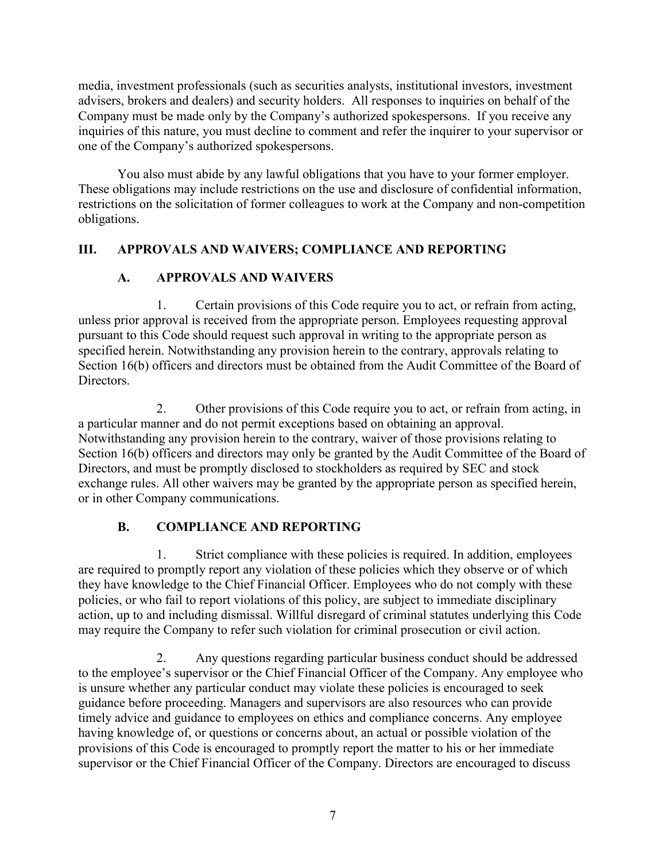media, investment professionals (such as securities analysts, institutional investors, investment advisers, brokers and dealers) and security holders. All responses to inquiries on behalf of the Company must be made only by the Company's authorized spokespersons. If you receive any inquiries of this nature, you must decline to comment and refer the inquirer to your supervisor or one of the Company's authorized spokespersons.

You also must abide by any lawful obligations that you have to your former employer. These obligations may include restrictions on the use and disclosure of confidential information, restrictions on the solicitation of former colleagues to work at the Company and non-competition obligations.

### **III. APPROVALS AND WAIVERS; COMPLIANCE AND REPORTING**

# **A. APPROVALS AND WAIVERS**

1. Certain provisions of this Code require you to act, or refrain from acting, unless prior approval is received from the appropriate person. Employees requesting approval pursuant to this Code should request such approval in writing to the appropriate person as specified herein. Notwithstanding any provision herein to the contrary, approvals relating to Section 16(b) officers and directors must be obtained from the Audit Committee of the Board of **Directors** 

2. Other provisions of this Code require you to act, or refrain from acting, in a particular manner and do not permit exceptions based on obtaining an approval. Notwithstanding any provision herein to the contrary, waiver of those provisions relating to Section 16(b) officers and directors may only be granted by the Audit Committee of the Board of Directors, and must be promptly disclosed to stockholders as required by SEC and stock exchange rules. All other waivers may be granted by the appropriate person as specified herein, or in other Company communications.

# **B. COMPLIANCE AND REPORTING**

1. Strict compliance with these policies is required. In addition, employees are required to promptly report any violation of these policies which they observe or of which they have knowledge to the Chief Financial Officer. Employees who do not comply with these policies, or who fail to report violations of this policy, are subject to immediate disciplinary action, up to and including dismissal. Willful disregard of criminal statutes underlying this Code may require the Company to refer such violation for criminal prosecution or civil action.

2. Any questions regarding particular business conduct should be addressed to the employee's supervisor or the Chief Financial Officer of the Company. Any employee who is unsure whether any particular conduct may violate these policies is encouraged to seek guidance before proceeding. Managers and supervisors are also resources who can provide timely advice and guidance to employees on ethics and compliance concerns. Any employee having knowledge of, or questions or concerns about, an actual or possible violation of the provisions of this Code is encouraged to promptly report the matter to his or her immediate supervisor or the Chief Financial Officer of the Company. Directors are encouraged to discuss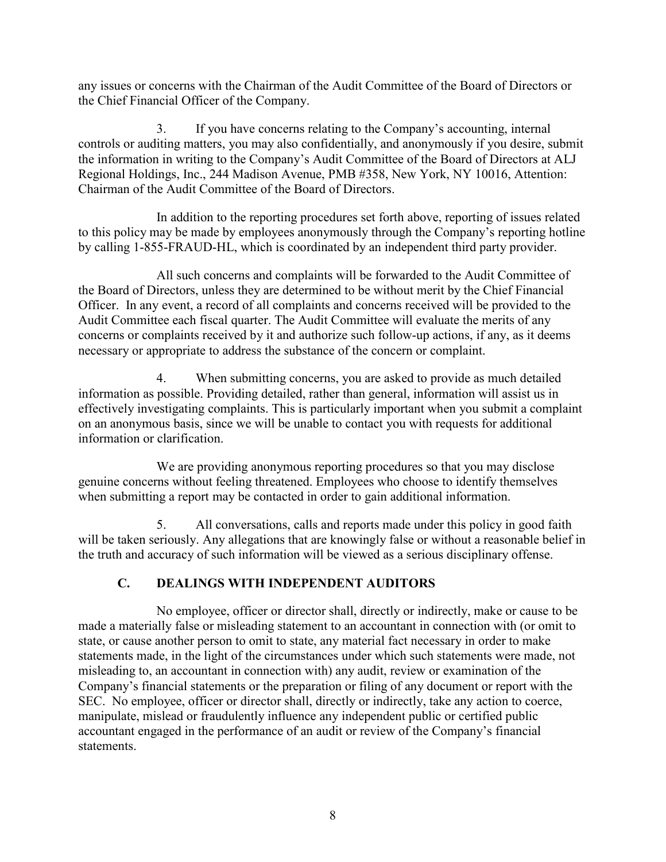any issues or concerns with the Chairman of the Audit Committee of the Board of Directors or the Chief Financial Officer of the Company.

3. If you have concerns relating to the Company's accounting, internal controls or auditing matters, you may also confidentially, and anonymously if you desire, submit the information in writing to the Company's Audit Committee of the Board of Directors at ALJ Regional Holdings, Inc., 244 Madison Avenue, PMB #358, New York, NY 10016, Attention: Chairman of the Audit Committee of the Board of Directors.

In addition to the reporting procedures set forth above, reporting of issues related to this policy may be made by employees anonymously through the Company's reporting hotline by calling 1-855-FRAUD-HL, which is coordinated by an independent third party provider.

All such concerns and complaints will be forwarded to the Audit Committee of the Board of Directors, unless they are determined to be without merit by the Chief Financial Officer. In any event, a record of all complaints and concerns received will be provided to the Audit Committee each fiscal quarter. The Audit Committee will evaluate the merits of any concerns or complaints received by it and authorize such follow-up actions, if any, as it deems necessary or appropriate to address the substance of the concern or complaint.

4. When submitting concerns, you are asked to provide as much detailed information as possible. Providing detailed, rather than general, information will assist us in effectively investigating complaints. This is particularly important when you submit a complaint on an anonymous basis, since we will be unable to contact you with requests for additional information or clarification.

We are providing anonymous reporting procedures so that you may disclose genuine concerns without feeling threatened. Employees who choose to identify themselves when submitting a report may be contacted in order to gain additional information.

5. All conversations, calls and reports made under this policy in good faith will be taken seriously. Any allegations that are knowingly false or without a reasonable belief in the truth and accuracy of such information will be viewed as a serious disciplinary offense.

# **C. DEALINGS WITH INDEPENDENT AUDITORS**

No employee, officer or director shall, directly or indirectly, make or cause to be made a materially false or misleading statement to an accountant in connection with (or omit to state, or cause another person to omit to state, any material fact necessary in order to make statements made, in the light of the circumstances under which such statements were made, not misleading to, an accountant in connection with) any audit, review or examination of the Company's financial statements or the preparation or filing of any document or report with the SEC. No employee, officer or director shall, directly or indirectly, take any action to coerce, manipulate, mislead or fraudulently influence any independent public or certified public accountant engaged in the performance of an audit or review of the Company's financial statements.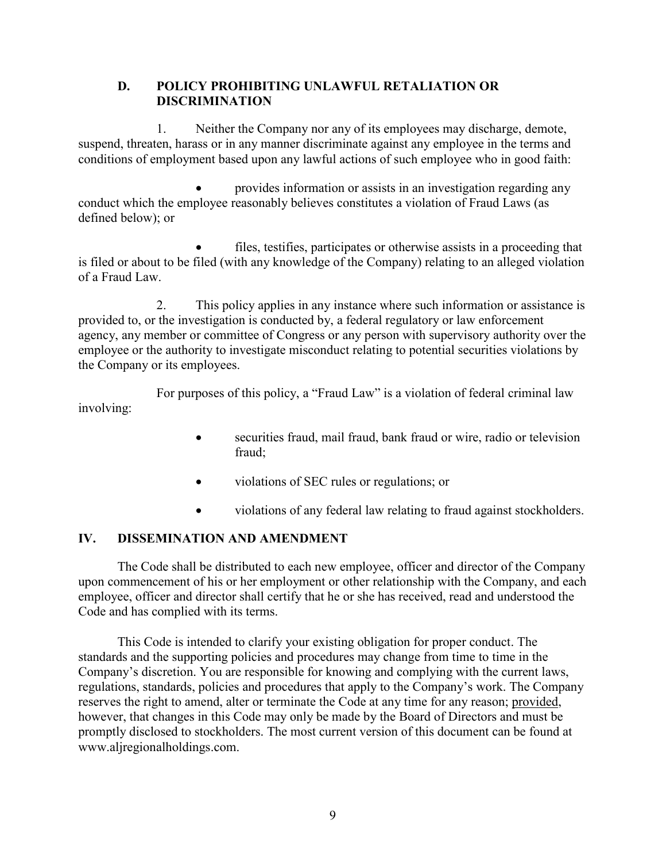#### **D. POLICY PROHIBITING UNLAWFUL RETALIATION OR DISCRIMINATION**

1. Neither the Company nor any of its employees may discharge, demote, suspend, threaten, harass or in any manner discriminate against any employee in the terms and conditions of employment based upon any lawful actions of such employee who in good faith:

• provides information or assists in an investigation regarding any conduct which the employee reasonably believes constitutes a violation of Fraud Laws (as defined below); or

files, testifies, participates or otherwise assists in a proceeding that is filed or about to be filed (with any knowledge of the Company) relating to an alleged violation of a Fraud Law.

2. This policy applies in any instance where such information or assistance is provided to, or the investigation is conducted by, a federal regulatory or law enforcement agency, any member or committee of Congress or any person with supervisory authority over the employee or the authority to investigate misconduct relating to potential securities violations by the Company or its employees.

For purposes of this policy, a "Fraud Law" is a violation of federal criminal law involving:

- securities fraud, mail fraud, bank fraud or wire, radio or television fraud;
- violations of SEC rules or regulations; or
- violations of any federal law relating to fraud against stockholders.

# **IV. DISSEMINATION AND AMENDMENT**

The Code shall be distributed to each new employee, officer and director of the Company upon commencement of his or her employment or other relationship with the Company, and each employee, officer and director shall certify that he or she has received, read and understood the Code and has complied with its terms.

This Code is intended to clarify your existing obligation for proper conduct. The standards and the supporting policies and procedures may change from time to time in the Company's discretion. You are responsible for knowing and complying with the current laws, regulations, standards, policies and procedures that apply to the Company's work. The Company reserves the right to amend, alter or terminate the Code at any time for any reason; provided, however, that changes in this Code may only be made by the Board of Directors and must be promptly disclosed to stockholders. The most current version of this document can be found at www.aljregionalholdings.com.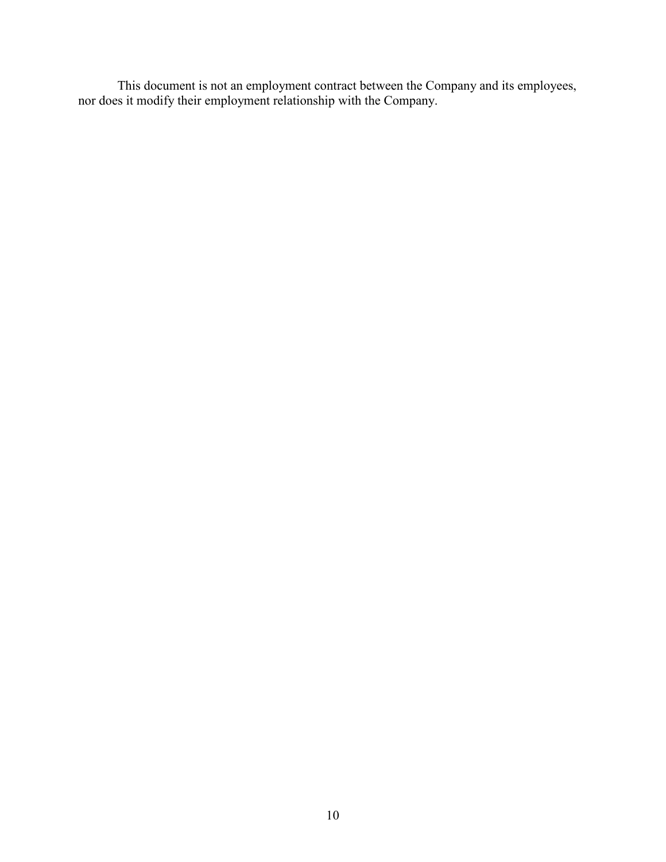This document is not an employment contract between the Company and its employees, nor does it modify their employment relationship with the Company.